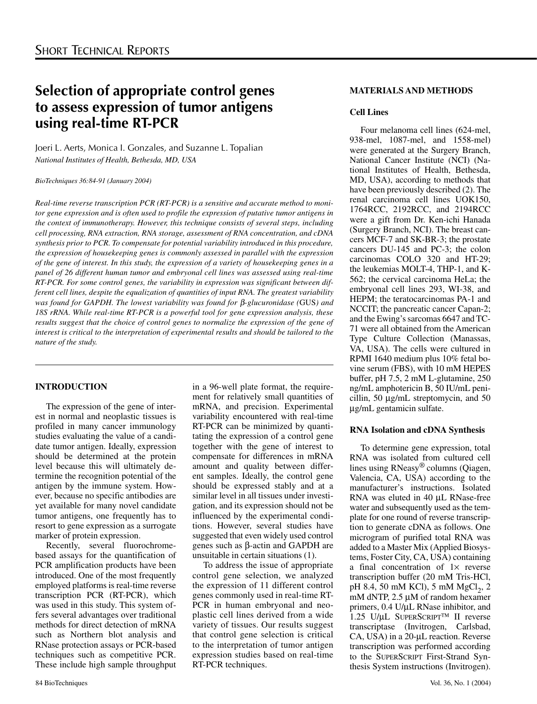# **Selection of appropriate control genes to assess expression of tumor antigens using real-time RT-PCR**

Joeri L. Aerts, Monica I. Gonzales, and Suzanne L. Topalian *National Institutes of Health, Bethesda, MD, USA*

*BioTechniques 36:84-91 (January 2004)*

*Real-time reverse transcription PCR (RT-PCR) is a sensitive and accurate method to monitor gene expression and is often used to profile the expression of putative tumor antigens in the context of immunotherapy. However, this technique consists of several steps, including cell processing, RNA extraction, RNA storage, assessment of RNA concentration, and cDNA synthesis prior to PCR. To compensate for potential variability introduced in this procedure, the expression of housekeeping genes is commonly assessed in parallel with the expression of the gene of interest. In this study, the expression of a variety of housekeeping genes in a panel of 26 different human tumor and embryonal cell lines was assessed using real-time RT-PCR. For some control genes, the variability in expression was significant between different cell lines, despite the equalization of quantities of input RNA. The greatest variability was found for GAPDH. The lowest variability was found for* β*-glucuronidase (*GUS*) and 18S rRNA. While real-time RT-PCR is a powerful tool for gene expression analysis, these results suggest that the choice of control genes to normalize the expression of the gene of interest is critical to the interpretation of experimental results and should be tailored to the nature of the study.*

# **INTRODUCTION**

The expression of the gene of interest in normal and neoplastic tissues is profiled in many cancer immunology studies evaluating the value of a candidate tumor antigen. Ideally, expression should be determined at the protein level because this will ultimately determine the recognition potential of the antigen by the immune system. However, because no specific antibodies are yet available for many novel candidate tumor antigens, one frequently has to resort to gene expression as a surrogate marker of protein expression.

Recently, several fluorochromebased assays for the quantification of PCR amplification products have been introduced. One of the most frequently employed platforms is real-time reverse transcription PCR (RT-PCR), which was used in this study. This system offers several advantages over traditional methods for direct detection of mRNA such as Northern blot analysis and RNase protection assays or PCR-based techniques such as competitive PCR. These include high sample throughput in a 96-well plate format, the requirement for relatively small quantities of mRNA, and precision. Experimental variability encountered with real-time RT-PCR can be minimized by quantitating the expression of a control gene together with the gene of interest to compensate for differences in mRNA amount and quality between different samples. Ideally, the control gene should be expressed stably and at a similar level in all tissues under investigation, and its expression should not be influenced by the experimental conditions. However, several studies have suggested that even widely used control genes such as β*-*actin and GAPDH are unsuitable in certain situations (1).

To address the issue of appropriate control gene selection, we analyzed the expression of 11 different control genes commonly used in real-time RT-PCR in human embryonal and neoplastic cell lines derived from a wide variety of tissues. Our results suggest that control gene selection is critical to the interpretation of tumor antigen expression studies based on real-time RT-PCR techniques.

# **MATERIALS AND METHODS**

# **Cell Lines**

Four melanoma cell lines (624-mel, 938-mel, 1087-mel, and 1558-mel) were generated at the Surgery Branch, National Cancer Institute (NCI) (National Institutes of Health, Bethesda, MD, USA), according to methods that have been previously described (2). The renal carcinoma cell lines UOK150, 1764RCC, 2192RCC, and 2194RCC were a gift from Dr. Ken-ichi Hanada (Surgery Branch, NCI). The breast cancers MCF-7 and SK-BR-3; the prostate cancers DU-145 and PC-3; the colon carcinomas COLO 320 and HT-29; the leukemias MOLT-4, THP-1, and K-562; the cervical carcinoma HeLa; the embryonal cell lines 293, WI-38, and HEPM; the teratocarcinomas PA-1 and NCCIT; the pancreatic cancer Capan-2; and the Ewing's sarcomas 6647 and TC-71 were all obtained from the American Type Culture Collection (Manassas, VA, USA). The cells were cultured in RPMI 1640 medium plus 10% fetal bovine serum (FBS), with 10 mM HEPES buffer, pH 7.5, 2 mM L-glutamine, 250 ng/mL amphotericin B, 50 IU/mL penicillin, 50 µg/mL streptomycin, and 50 µg/mL gentamicin sulfate.

# **RNA Isolation and cDNA Synthesis**

To determine gene expression, total RNA was isolated from cultured cell lines using RNeasy® columns (Qiagen, Valencia, CA, USA) according to the manufacturer's instructions. Isolated RNA was eluted in 40 µL RNase-free water and subsequently used as the template for one round of reverse transcription to generate cDNA as follows. One microgram of purified total RNA was added to a Master Mix (Applied Biosystems, Foster City, CA, USA) containing a final concentration of  $1\times$  reverse transcription buffer (20 mM Tris-HCl, pH 8.4, 50 mM KCl), 5 mM  $MgCl<sub>2</sub>$ , 2 mM dNTP, 2.5 µM of random hexamer primers, 0.4 U/µL RNase inhibitor, and  $1.25$  U/ $\mu$ L SUPERSCRIPT<sup>TM</sup> II reverse transcriptase (Invitrogen, Carlsbad, CA, USA) in a 20-µL reaction. Reverse transcription was performed according to the SUPERSCRIPT First-Strand Synthesis System instructions (Invitrogen).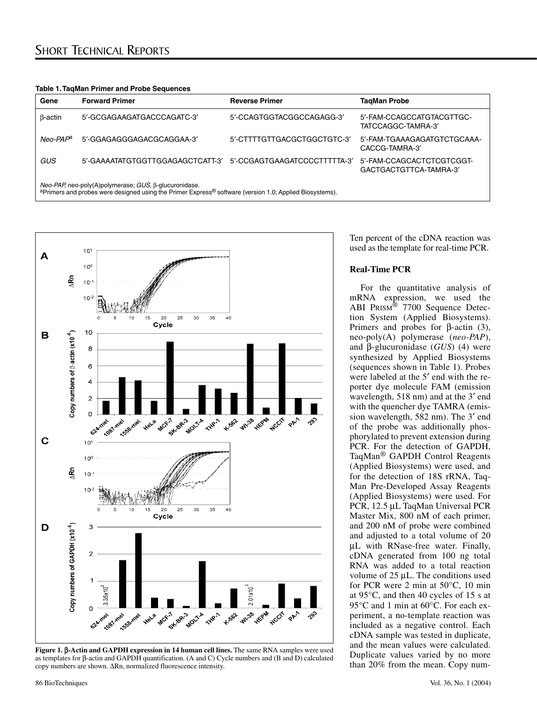| Table 1. TaqMan Primer and Probe Sequences |  |  |  |  |  |  |
|--------------------------------------------|--|--|--|--|--|--|
|--------------------------------------------|--|--|--|--|--|--|

| Gene                                                                                                                                                                                     | <b>Forward Primer</b>            | <b>Reverse Primer</b>        | TagMan Probe                                        |  |  |  |  |
|------------------------------------------------------------------------------------------------------------------------------------------------------------------------------------------|----------------------------------|------------------------------|-----------------------------------------------------|--|--|--|--|
| $\beta$ -actin                                                                                                                                                                           | 5'-GCGAGAAGATGACCCAGATC-3'       | 5'-CCAGTGGTACGGCCAGAGG-3'    | 5'-FAM-CCAGCCATGTACGTTGC-<br>TATCCAGGC-TAMRA-3      |  |  |  |  |
| Neo-PAP <sup>a</sup>                                                                                                                                                                     | 5'-GGAGAGGGAGACGCAGGAA-3'        | 5'-CTTTTGTTGACGCTGGCTGTC-3'  | 5'-FAM-TGAAAGAGATGTCTGCAAA-<br>CACCG-TAMRA-3        |  |  |  |  |
| GUS                                                                                                                                                                                      | 5'-GAAAATATGTGGTTGGAGAGCTCATT-3' | 5'-CCGAGTGAAGATCCCCTTTTTA-3' | 5'-FAM-CCAGCACTCTCGTCGGT-<br>GACTGACTGTTCA-TAMRA-3' |  |  |  |  |
| Neo-PAP, neo-poly(A)polymerase; GUS, β-glucuronidase.<br><sup>a</sup> Primers and probes were designed using the Primer Express <sup>®</sup> software (version 1.0; Applied Biosystems). |                                  |                              |                                                     |  |  |  |  |



**Figure 1.** β**-Actin and GAPDH expression in 14 human cell lines.** The same RNA samples were used as templates for β-actin and GAPDH quantification. (A and C) Cycle numbers and (B and D) calculated copy numbers are shown. ∆Rn, normalized fluorescence intensity.

Ten percent of the cDNA reaction was used as the template for real-time PCR.

## **Real-Time PCR**

For the quantitative analysis of mRNA expression, we used the ABI PRISM® 7700 Sequence Detection System (Applied Biosystems). Primers and probes for  $β$ -actin (3), neo-poly(A) polymerase (*neo-PAP*), and β-glucuronidase (*GUS*) (4) were synthesized by Applied Biosystems (sequences shown in Table 1). Probes were labeled at the 5′ end with the reporter dye molecule FAM (emission wavelength, 518 nm) and at the 3′ end with the quencher dye TAMRA (emission wavelength, 582 nm). The 3′ end of the probe was additionally phosphorylated to prevent extension during PCR. For the detection of GAPDH, TaqMan® GAPDH Control Reagents (Applied Biosystems) were used, and for the detection of 18S rRNA, Taq-Man Pre-Developed Assay Reagents (Applied Biosystems) were used. For PCR, 12.5 µL TaqMan Universal PCR Master Mix, 800 nM of each primer, and 200 nM of probe were combined and adjusted to a total volume of 20 µL with RNase-free water. Finally, cDNA generated from 100 ng total RNA was added to a total reaction volume of 25 µL. The conditions used for PCR were 2 min at 50°C, 10 min at 95°C, and then 40 cycles of 15 s at 95°C and 1 min at 60°C. For each experiment, a no-template reaction was included as a negative control. Each cDNA sample was tested in duplicate, and the mean values were calculated. Duplicate values varied by no more than 20% from the mean. Copy num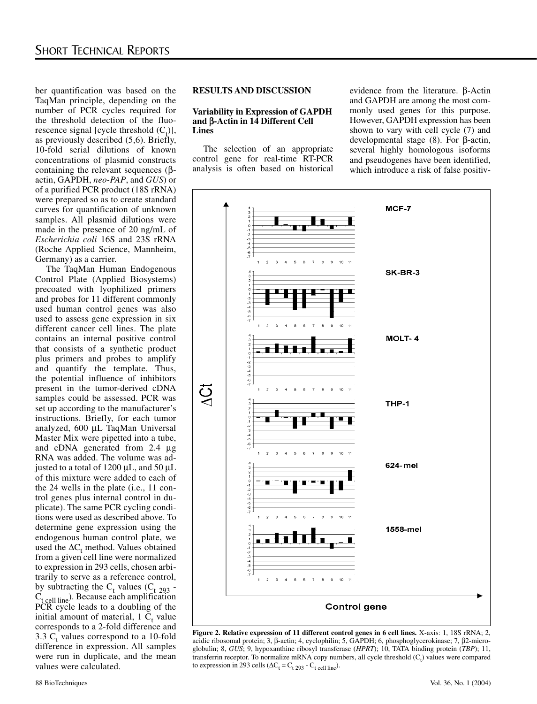ber quantification was based on the TaqMan principle, depending on the number of PCR cycles required for the threshold detection of the fluorescence signal [cycle threshold  $(C_t)$ ], as previously described (5,6). Briefly, 10-fold serial dilutions of known concentrations of plasmid constructs containing the relevant sequences (βactin, GAPDH, *neo-PAP*, and *GUS*) or of a purified PCR product (18S rRNA) were prepared so as to create standard curves for quantification of unknown samples. All plasmid dilutions were made in the presence of 20 ng/mL of *Escherichia coli* 16S and 23S rRNA (Roche Applied Science, Mannheim, Germany) as a carrier.

The TaqMan Human Endogenous Control Plate (Applied Biosystems) precoated with lyophilized primers and probes for 11 different commonly used human control genes was also used to assess gene expression in six different cancer cell lines. The plate contains an internal positive control that consists of a synthetic product plus primers and probes to amplify and quantify the template. Thus, the potential influence of inhibitors present in the tumor-derived cDNA samples could be assessed. PCR was set up according to the manufacturer's instructions. Briefly, for each tumor analyzed, 600 µL TaqMan Universal Master Mix were pipetted into a tube, and cDNA generated from 2.4 µg RNA was added. The volume was adjusted to a total of 1200 µL, and 50 µL of this mixture were added to each of the 24 wells in the plate (i.e., 11 control genes plus internal control in duplicate). The same PCR cycling conditions were used as described above. To determine gene expression using the endogenous human control plate, we used the  $\Delta C_t$  method. Values obtained from a given cell line were normalized to expression in 293 cells, chosen arbitrarily to serve as a reference control, by subtracting the  $C_t$  values ( $C_t$  293 - $C_{t}$  cell line). Because each amplification PCR cycle leads to a doubling of the initial amount of material,  $1 \, \text{C}_t$  value corresponds to a 2-fold difference and 3.3  $C_t$  values correspond to a 10-fold difference in expression. All samples were run in duplicate, and the mean values were calculated.

#### **RESULTS AND DISCUSSION**

## **Variability in Expression of GAPDH and** β**-Actin in 14 Different Cell Lines**

The selection of an appropriate control gene for real-time RT-PCR analysis is often based on historical evidence from the literature. β-Actin and GAPDH are among the most commonly used genes for this purpose. However, GAPDH expression has been shown to vary with cell cycle (7) and developmental stage (8). For β-actin, several highly homologous isoforms and pseudogenes have been identified, which introduce a risk of false positiv-



**Figure 2. Relative expression of 11 different control genes in 6 cell lines.** X-axis: 1, 18S rRNA; 2, acidic ribosomal protein; 3, β-actin; 4, cyclophilin; 5, GAPDH; 6, phosphoglycerokinase; 7, β2-microglobulin; 8, *GUS*; 9, hypoxanthine ribosyl transferase (*HPRT*); 10, TATA binding protein (*TBP*); 11, transferrin receptor. To normalize mRNA copy numbers, all cycle threshold  $(C_t)$  values were compared to expression in 293 cells ( $\Delta C_t = C_{t\ 293} - C_{t\ 201}$  line).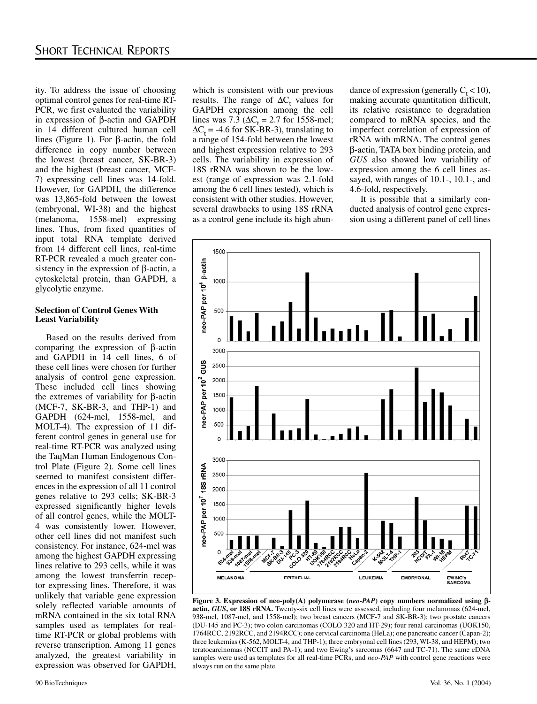ity. To address the issue of choosing optimal control genes for real-time RT-PCR, we first evaluated the variability in expression of β-actin and GAPDH in 14 different cultured human cell lines (Figure 1). For β-actin, the fold difference in copy number between the lowest (breast cancer, SK-BR-3) and the highest (breast cancer, MCF-7) expressing cell lines was 14-fold. However, for GAPDH, the difference was 13,865-fold between the lowest (embryonal, WI-38) and the highest (melanoma, 1558-mel) expressing lines. Thus, from fixed quantities of input total RNA template derived from 14 different cell lines, real-time RT-PCR revealed a much greater consistency in the expression of β-actin, a cytoskeletal protein, than GAPDH, a glycolytic enzyme.

### **Selection of Control Genes With Least Variability**

Based on the results derived from comparing the expression of β-actin and GAPDH in 14 cell lines, 6 of these cell lines were chosen for further analysis of control gene expression. These included cell lines showing the extremes of variability for β-actin (MCF-7, SK-BR-3, and THP-1) and GAPDH (624-mel, 1558-mel, and MOLT-4). The expression of 11 different control genes in general use for real-time RT-PCR was analyzed using the TaqMan Human Endogenous Control Plate (Figure 2). Some cell lines seemed to manifest consistent differences in the expression of all 11 control genes relative to 293 cells; SK-BR-3 expressed significantly higher levels of all control genes, while the MOLT-4 was consistently lower. However, other cell lines did not manifest such consistency. For instance, 624-mel was among the highest GAPDH expressing lines relative to 293 cells, while it was among the lowest transferrin receptor expressing lines. Therefore, it was unlikely that variable gene expression solely reflected variable amounts of mRNA contained in the six total RNA samples used as templates for realtime RT-PCR or global problems with reverse transcription. Among 11 genes analyzed, the greatest variability in expression was observed for GAPDH,

which is consistent with our previous results. The range of  $\Delta C_t$  values for GAPDH expression among the cell lines was 7.3 ( $\Delta C_t = 2.7$  for 1558-mel;  $\Delta C_t = -4.6$  for SK-BR-3), translating to a range of 154-fold between the lowest and highest expression relative to 293 cells. The variability in expression of 18S rRNA was shown to be the lowest (range of expression was 2.1-fold among the 6 cell lines tested), which is consistent with other studies. However, several drawbacks to using 18S rRNA as a control gene include its high abun-

dance of expression (generally  $C_t < 10$ ), making accurate quantitation difficult, its relative resistance to degradation compared to mRNA species, and the imperfect correlation of expression of rRNA with mRNA. The control genes β-actin, TATA box binding protein, and *GUS* also showed low variability of expression among the 6 cell lines assayed, with ranges of 10.1-, 10.1-, and 4.6-fold, respectively.

It is possible that a similarly conducted analysis of control gene expression using a different panel of cell lines



**Figure 3. Expression of neo-poly(A) polymerase (***neo-PAP***) copy numbers normalized using** β**actin,** *GUS***, or 18S rRNA.** Twenty-six cell lines were assessed, including four melanomas (624-mel, 938-mel, 1087-mel, and 1558-mel); two breast cancers (MCF-7 and SK-BR-3); two prostate cancers (DU-145 and PC-3); two colon carcinomas (COLO 320 and HT-29); four renal carcinomas (UOK150, 1764RCC, 2192RCC, and 2194RCC); one cervical carcinoma (HeLa); one pancreatic cancer (Capan-2); three leukemias (K-562, MOLT-4, and THP-1); three embryonal cell lines (293, WI-38, and HEPM); two teratocarcinomas (NCCIT and PA-1); and two Ewing's sarcomas (6647 and TC-71). The same cDNA samples were used as templates for all real-time PCRs, and *neo-PAP* with control gene reactions were always run on the same plate.